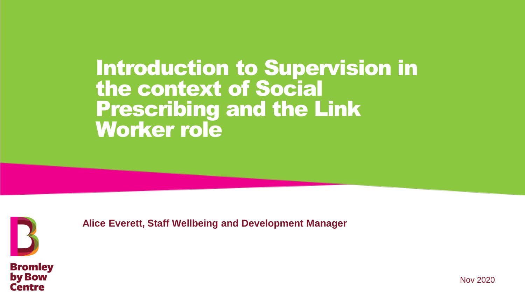# Introduction to Supervision in the context of Social Prescribing and the Link Worker role



**Alice Everett, Staff Wellbeing and Development Manager**



Nov 2020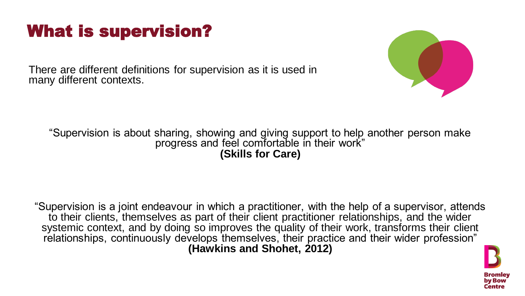### What is supervision?

There are different definitions for supervision as it is used in many different contexts.

#### "Supervision is about sharing, showing and giving support to help another person make progress and feel comfortable in their work" **(Skills for Care)**



"Supervision is a joint endeavour in which a practitioner, with the help of a supervisor, attends to their clients, themselves as part of their client practitioner relationships, and the wider systemic context, and by doing so improves the quality of their work, transforms their client relationships, continuously develops themselves, their practice and their wider profession" **(Hawkins and Shohet, 2012)** 

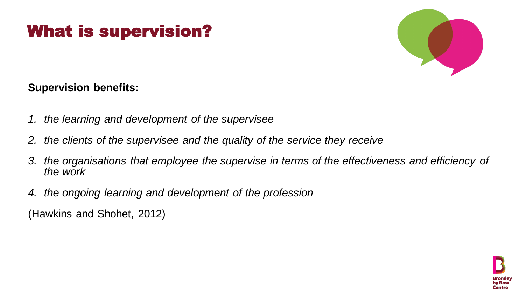## What is supervision?

**Supervision benefits:**

- *1. the learning and development of the supervisee*
- *2. the clients of the supervisee and the quality of the service they receive*
- *the work*
- *4. the ongoing learning and development of the profession* (Hawkins and Shohet, 2012)



*3. the organisations that employee the supervise in terms of the effectiveness and efficiency of* 

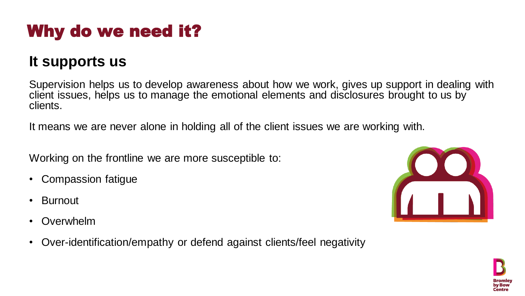# Why do we need it?

### **It supports us**

Supervision helps us to develop awareness about how we work, gives up support in dealing with client issues, helps us to manage the emotional elements and disclosures brought to us by clients.

It means we are never alone in holding all of the client issues we are working with.

Working on the frontline we are more susceptible to:

- Compassion fatigue
- Burnout
- **Overwhelm**
- Over-identification/empathy or defend against clients/feel negativity



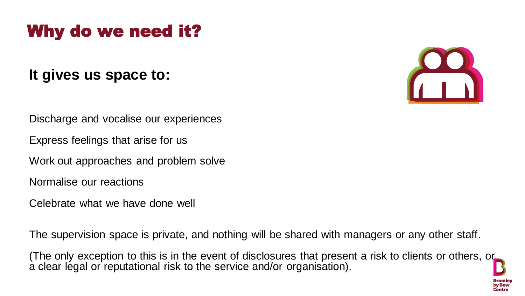### Why do we need it?

### **It gives us space to:**

Discharge and vocalise our experiences

Express feelings that arise for us

Work out approaches and problem solve

Normalise our reactions

Celebrate what we have done well

The supervision space is private, and nothing will be shared with managers or any other staff.

(The only exception to this is in the event of disclosures that present a risk to clients or others, or a clear legal or reputational risk to the service and/or organisation).



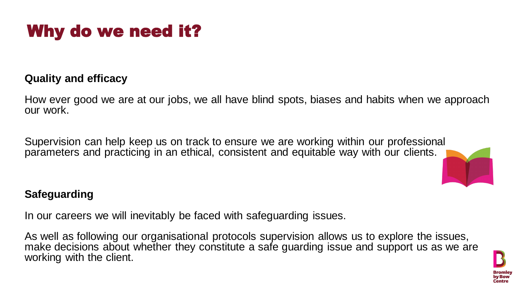

### **Quality and efficacy**

- How ever good we are at our jobs, we all have blind spots, biases and habits when we approach
	-



our work.

- 
- As well as following our organisational protocols supervision allows us to explore the issues, make decisions about whether they constitute a safe guarding issue and support us as we are



Supervision can help keep us on track to ensure we are working within our professional parameters and practicing in an ethical, consistent and equitable way with our clients.

### **Safeguarding**

In our careers we will inevitably be faced with safeguarding issues.

working with the client.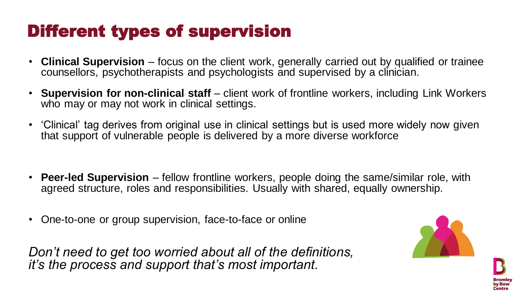# Different types of supervision

- **Clinical Supervision**  focus on the client work, generally carried out by qualified or trainee counsellors, psychotherapists and psychologists and supervised by a clinician.
- **Supervision for non-clinical staff**  client work of frontline workers, including Link Workers who may or may not work in clinical settings.
- 'Clinical' tag derives from original use in clinical settings but is used more widely now given that support of vulnerable people is delivered by a more diverse workforce
- **Peer-led Supervision**  fellow frontline workers, people doing the same/similar role, with agreed structure, roles and responsibilities. Usually with shared, equally ownership.
- One-to-one or group supervision, face-to-face or online

*Don't need to get too worried about all of the definitions, it's the process and support that's most important.*





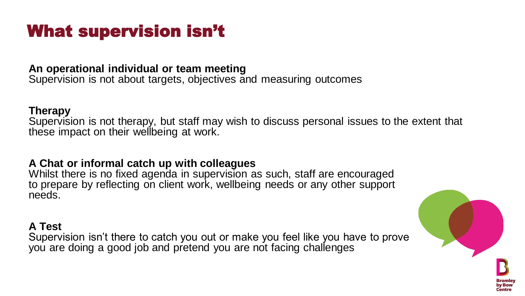## What supervision isn't

**An operational individual or team meeting** Supervision is not about targets, objectives and measuring outcomes

#### **Therapy**

Supervision is not therapy, but staff may wish to discuss personal issues to the extent that these impact on their wellbeing at work.

**A Chat or informal catch up with colleagues** Whilst there is no fixed agenda in supervision as such, staff are encouraged to prepare by reflecting on client work, wellbeing needs or any other support needs.

#### **A Test**

Supervision isn't there to catch you out or make you feel like you have to prove you are doing a good job and pretend you are not facing challenges